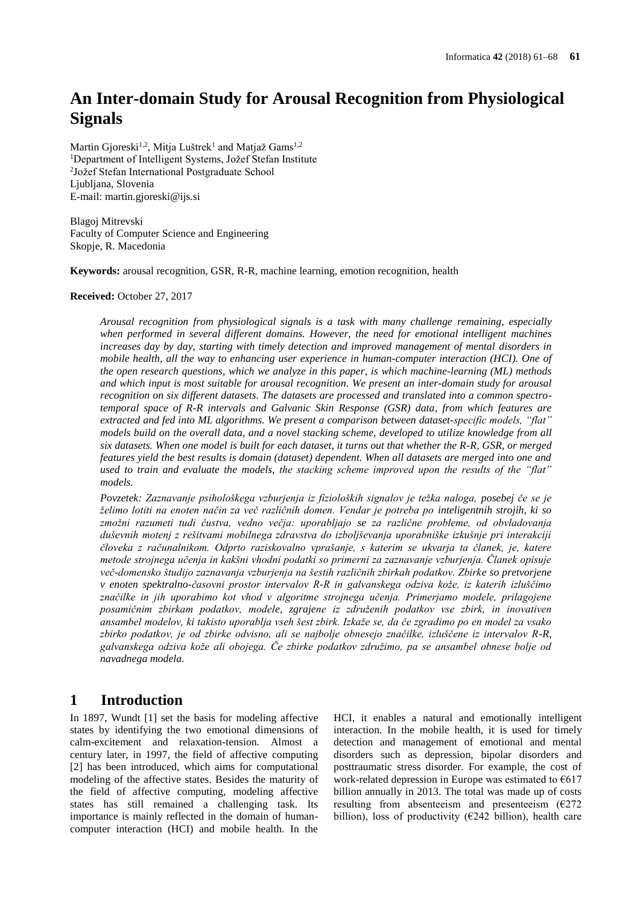# **An Inter-domain Study for Arousal Recognition from Physiological Signals**

Martin Gjoreski<sup>1,2</sup>, Mitja Luštrek<sup>1</sup> and Matjaž Gams<sup>1,2</sup> <sup>1</sup>Department of Intelligent Systems, Jožef Stefan Institute 2 Jožef Stefan International Postgraduate School Liubliana, Slovenia E-mail: martin.gjoreski@ijs.si

Blagoj Mitrevski Faculty of Computer Science and Engineering Skopje, R. Macedonia

**Keywords:** arousal recognition, GSR, R-R, machine learning, emotion recognition, health

### **Received:** October 27, 2017

*Arousal recognition from physiological signals is a task with many challenge remaining, especially when performed in several different domains. However, the need for emotional intelligent machines increases day by day, starting with timely detection and improved management of mental disorders in mobile health, all the way to enhancing user experience in human-computer interaction (HCI). One of the open research questions, which we analyze in this paper, is which machine-learning (ML) methods and which input is most suitable for arousal recognition. We present an inter-domain study for arousal recognition on six different datasets. The datasets are processed and translated into a common spectrotemporal space of R-R intervals and Galvanic Skin Response (GSR) data, from which features are extracted and fed into ML algorithms. We present a comparison between dataset-specific models, "flat" models build on the overall data, and a novel stacking scheme, developed to utilize knowledge from all six datasets. When one model is built for each dataset, it turns out that whether the R-R, GSR, or merged features yield the best results is domain (dataset) dependent. When all datasets are merged into one and used to train and evaluate the models, the stacking scheme improved upon the results of the "flat" models.*

*Povzetek: Zaznavanje psihološkega vzburjenja iz fizioloških signalov je težka naloga, posebej če se je želimo lotiti na enoten način za več različnih domen. Vendar je potreba po inteligentnih strojih, ki so zmožni razumeti tudi čustva, vedno večja: uporabljajo se za različne probleme, od obvladovanja duševnih motenj z rešitvami mobilnega zdravstva do izboljševanja uporabniške izkušnje pri interakciji človeka z računalnikom. Odprto raziskovalno vprašanje, s katerim se ukvarja ta članek, je, katere metode strojnega učenja in kakšni vhodni podatki so primerni za zaznavanje vzburjenja. Članek opisuje več-domensko študijo zaznavanja vzburjenja na šestih različnih zbirkah podatkov. Zbirke so pretvorjene v enoten spektralno-časovni prostor intervalov R-R in galvanskega odziva kože, iz katerih izluščimo značilke in jih uporabimo kot vhod v algoritme strojnega učenja. Primerjamo modele, prilagojene posamičnim zbirkam podatkov, modele, zgrajene iz združenih podatkov vse zbirk, in inovativen ansambel modelov, ki takisto uporablja vseh šest zbirk. Izkaže se, da če zgradimo po en model za vsako zbirko podatkov, je od zbirke odvisno, ali se najbolje obnesejo značilke, izluščene iz intervalov R-R, galvanskega odziva kože ali obojega. Če zbirke podatkov združimo, pa se ansambel obnese bolje od navadnega modela.*

# **1 Introduction**

In 1897, Wundt [\[1\]](#page-6-0) set the basis for modeling affective states by identifying the two emotional dimensions of calm-excitement and relaxation-tension. Almost a century later, in 1997, the field of affective computing [\[2\]](#page-6-1) has been introduced, which aims for computational modeling of the affective states. Besides the maturity of the field of affective computing, modeling affective states has still remained a challenging task. Its importance is mainly reflected in the domain of humancomputer interaction (HCI) and mobile health. In the

HCI, it enables a natural and emotionally intelligent interaction. In the mobile health, it is used for timely detection and management of emotional and mental disorders such as depression, bipolar disorders and posttraumatic stress disorder. For example, the cost of work-related depression in Europe was estimated to  $€617$ billion annually in 2013. The total was made up of costs resulting from absenteeism and presenteeism  $(E272)$ billion), loss of productivity ( $\epsilon$ 242 billion), health care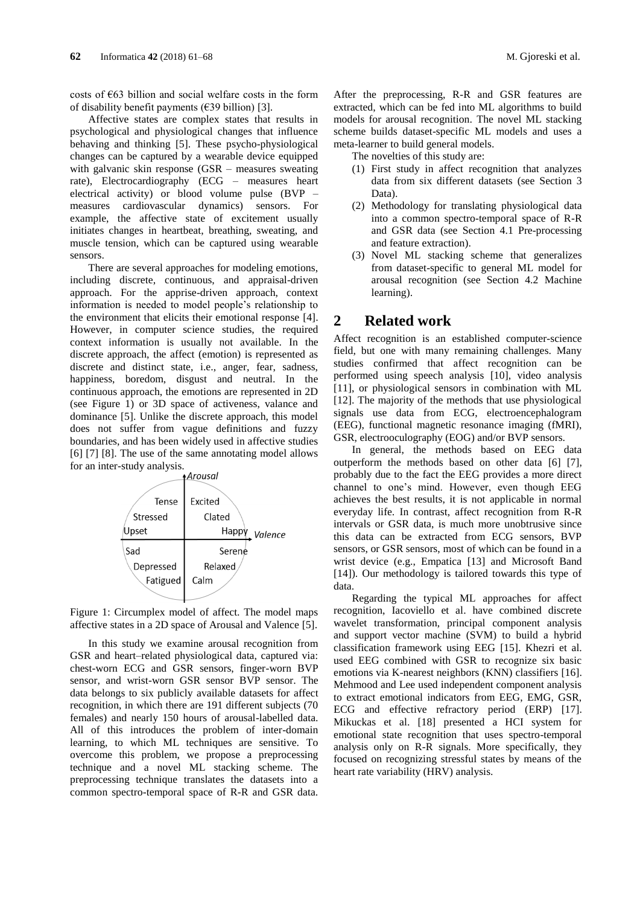costs of €63 billion and social welfare costs in the form of disability benefit payments  $(639 \text{ billion})$  [\[3\].](#page-6-2)

Affective states are complex states that results in psychological and physiological changes that influence behaving and thinking [\[5\].](#page-6-3) These psycho-physiological changes can be captured by a wearable device equipped with galvanic skin response (GSR – measures sweating rate), Electrocardiography (ECG – measures heart electrical activity) or blood volume pulse (BVP – measures cardiovascular dynamics) sensors. For example, the affective state of excitement usually initiates changes in heartbeat, breathing, sweating, and muscle tension, which can be captured using wearable sensors.

There are several approaches for modeling emotions, including discrete, continuous, and appraisal-driven approach. For the apprise-driven approach, context information is needed to model people's relationship to the environment that elicits their emotional response [\[4\].](#page-6-4) However, in computer science studies, the required context information is usually not available. In the discrete approach, the affect (emotion) is represented as discrete and distinct state, i.e., anger, fear, sadness, happiness, boredom, disgust and neutral. In the continuous approach, the emotions are represented in 2D (see [Figure 1\)](#page-1-0) or 3D space of activeness, valance and dominance [\[5\].](#page-6-3) Unlike the discrete approach, this model does not suffer from vague definitions and fuzzy boundaries, and has been widely used in affective studies [\[6\]](#page-6-5) [\[7\]](#page-6-6) [\[8\].](#page-6-7) The use of the same annotating model allows for an inter-study analysis.<br>Arousal



<span id="page-1-0"></span>Figure 1: Circumplex model of affect. The model maps affective states in a 2D space of Arousal and Valence [\[5\].](#page-6-3)

In this study we examine arousal recognition from GSR and heart–related physiological data, captured via: chest-worn ECG and GSR sensors, finger-worn BVP sensor, and wrist-worn GSR sensor BVP sensor. The data belongs to six publicly available datasets for affect recognition, in which there are 191 different subjects (70 females) and nearly 150 hours of arousal-labelled data. All of this introduces the problem of inter-domain learning, to which ML techniques are sensitive. To overcome this problem, we propose a preprocessing technique and a novel ML stacking scheme. The preprocessing technique translates the datasets into a common spectro-temporal space of R-R and GSR data.

After the preprocessing, R-R and GSR features are extracted, which can be fed into ML algorithms to build models for arousal recognition. The novel ML stacking scheme builds dataset-specific ML models and uses a meta-learner to build general models.

The novelties of this study are:

- (1) First study in affect recognition that analyzes data from six different datasets (see Section 3 [Data\)](#page-2-0).
- (2) Methodology for translating physiological data into a common spectro-temporal space of R-R and GSR data (see Section 4.1 [Pre-processing](#page-2-1)  [and feature extraction\)](#page-2-1).
- (3) Novel ML stacking scheme that generalizes from dataset-specific to general ML model for arousal recognition (see Section 4.2 [Machine](#page-4-0)  [learning\)](#page-4-0).

# **2 Related work**

Affect recognition is an established computer-science field, but one with many remaining challenges. Many studies confirmed that affect recognition can be performed using speech analysis [\[10\],](#page-6-8) video analysis [\[11\],](#page-6-9) or physiological sensors in combination with ML [\[12\].](#page-6-10) The majority of the methods that use physiological signals use data from ECG, electroencephalogram (EEG), functional magnetic resonance imaging (fMRI), GSR, electrooculography (EOG) and/or BVP sensors.

In general, the methods based on EEG data outperform the methods based on other data [\[6\]](#page-6-5) [\[7\],](#page-6-6) probably due to the fact the EEG provides a more direct channel to one's mind. However, even though EEG achieves the best results, it is not applicable in normal everyday life. In contrast, affect recognition from R-R intervals or GSR data, is much more unobtrusive since this data can be extracted from ECG sensors, BVP sensors, or GSR sensors, most of which can be found in a wrist device (e.g., Empatica [\[13\]](#page-6-11) and Microsoft Band [\[14\]\)](#page-6-12). Our methodology is tailored towards this type of data.

Regarding the typical ML approaches for affect recognition, Iacoviello et al. have combined discrete wavelet transformation, principal component analysis and support vector machine (SVM) to build a hybrid classification framework using EEG [\[15\].](#page-6-13) Khezri et al. used EEG combined with GSR to recognize six basic emotions via K-nearest neighbors (KNN) classifiers [\[16\].](#page-6-14) Mehmood and Lee used independent component analysis to extract emotional indicators from EEG, EMG, GSR, ECG and effective refractory period (ERP) [\[17\].](#page-6-15) Mikuckas et al. [\[18\]](#page-6-16) presented a HCI system for emotional state recognition that uses spectro-temporal analysis only on R-R signals. More specifically, they focused on recognizing stressful states by means of the heart rate variability (HRV) analysis.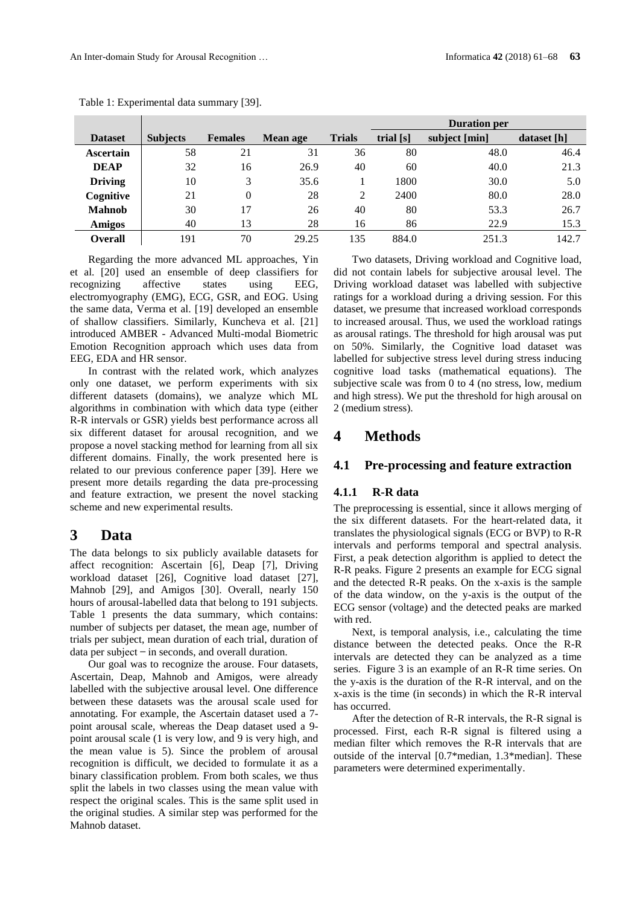|                |                 |                |          |               | <b>Duration per</b> |               |             |  |
|----------------|-----------------|----------------|----------|---------------|---------------------|---------------|-------------|--|
| <b>Dataset</b> | <b>Subjects</b> | <b>Females</b> | Mean age | <b>Trials</b> | trial [s]           | subject [min] | dataset [h] |  |
| Ascertain      | 58              | 21             | 31       | 36            | 80                  | 48.0          | 46.4        |  |
| <b>DEAP</b>    | 32              | 16             | 26.9     | 40            | 60                  | 40.0          | 21.3        |  |
| <b>Driving</b> | 10              | 3              | 35.6     |               | 1800                | 30.0          | 5.0         |  |
| Cognitive      | 21              | 0              | 28       | 2             | 2400                | 80.0          | 28.0        |  |
| <b>Mahnob</b>  | 30              | 17             | 26       | 40            | 80                  | 53.3          | 26.7        |  |
| <b>Amigos</b>  | 40              | 13             | 28       | 16            | 86                  | 22.9          | 15.3        |  |
| Overall        | 191             | 70             | 29.25    | 135           | 884.0               | 251.3         | 142.7       |  |

Table 1: Experimental data summary [\[39\].](#page-7-0)

Regarding the more advanced ML approaches, Yin et al. [\[20\]](#page-6-17) used an ensemble of deep classifiers for recognizing affective states using EEG, electromyography (EMG), ECG, GSR, and EOG. Using the same data, Verma et al. [\[19\]](#page-6-18) developed an ensemble of shallow classifiers. Similarly, Kuncheva et al. [\[21\]](#page-6-19) introduced AMBER - Advanced Multi-modal Biometric Emotion Recognition approach which uses data from EEG, EDA and HR sensor.

In contrast with the related work, which analyzes only one dataset, we perform experiments with six different datasets (domains), we analyze which ML algorithms in combination with which data type (either R-R intervals or GSR) yields best performance across all six different dataset for arousal recognition, and we propose a novel stacking method for learning from all six different domains. Finally, the work presented here is related to our previous conference paper [\[39\].](#page-7-0) Here we present more details regarding the data pre-processing and feature extraction, we present the novel stacking scheme and new experimental results.

# <span id="page-2-0"></span>**3 Data**

The data belongs to six publicly available datasets for affect recognition: Ascertain [\[6\],](#page-6-5) Deap [\[7\],](#page-6-6) Driving workload dataset [\[26\],](#page-7-1) Cognitive load dataset [\[27\],](#page-7-2) Mahnob [\[29\],](#page-7-3) and Amigos [\[30\].](#page-7-4) Overall, nearly 150 hours of arousal-labelled data that belong to 191 subjects. Table 1 presents the data summary, which contains: number of subjects per dataset, the mean age, number of trials per subject, mean duration of each trial, duration of  $data per subject – in seconds, and overall duration.$ 

Our goal was to recognize the arouse. Four datasets, Ascertain, Deap, Mahnob and Amigos, were already labelled with the subjective arousal level. One difference between these datasets was the arousal scale used for annotating. For example, the Ascertain dataset used a 7 point arousal scale, whereas the Deap dataset used a 9 point arousal scale (1 is very low, and 9 is very high, and the mean value is 5). Since the problem of arousal recognition is difficult, we decided to formulate it as a binary classification problem. From both scales, we thus split the labels in two classes using the mean value with respect the original scales. This is the same split used in the original studies. A similar step was performed for the Mahnob dataset.

Two datasets, Driving workload and Cognitive load, did not contain labels for subjective arousal level. The Driving workload dataset was labelled with subjective ratings for a workload during a driving session. For this dataset, we presume that increased workload corresponds to increased arousal. Thus, we used the workload ratings as arousal ratings. The threshold for high arousal was put on 50%. Similarly, the Cognitive load dataset was labelled for subjective stress level during stress inducing cognitive load tasks (mathematical equations). The subjective scale was from 0 to 4 (no stress, low, medium and high stress). We put the threshold for high arousal on 2 (medium stress).

# **4 Methods**

### <span id="page-2-1"></span>**4.1 Pre-processing and feature extraction**

### **4.1.1 R-R data**

The preprocessing is essential, since it allows merging of the six different datasets. For the heart-related data, it translates the physiological signals (ECG or BVP) to R-R intervals and performs temporal and spectral analysis. First, a peak detection algorithm is applied to detect the R-R peaks. [Figure 2](#page-3-0) presents an example for ECG signal and the detected R-R peaks. On the x-axis is the sample of the data window, on the y-axis is the output of the ECG sensor (voltage) and the detected peaks are marked with red.

Next, is temporal analysis, i.e., calculating the time distance between the detected peaks. Once the R-R intervals are detected they can be analyzed as a time series. [Figure 3](#page-3-1) is an example of an R-R time series. On the y-axis is the duration of the R-R interval, and on the x-axis is the time (in seconds) in which the R-R interval has occurred.

After the detection of R-R intervals, the R-R signal is processed. First, each R-R signal is filtered using a median filter which removes the R-R intervals that are outside of the interval [0.7\*median, 1.3\*median]. These parameters were determined experimentally.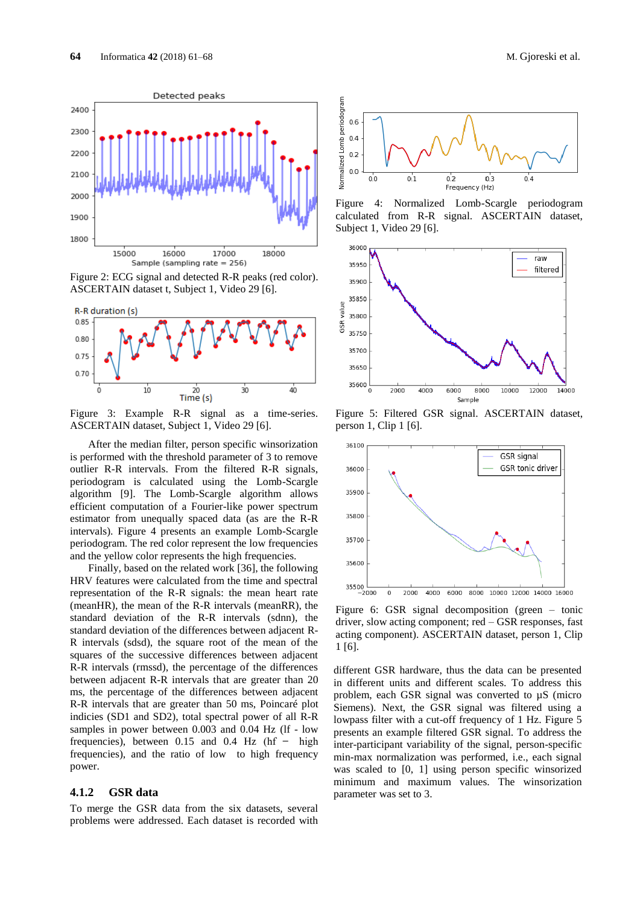

<span id="page-3-0"></span>Figure 2: ECG signal and detected R-R peaks (red color). ASCERTAIN dataset t, Subject 1, Video 29 [6].



<span id="page-3-1"></span>Figure 3: Example R-R signal as a time-series. ASCERTAIN dataset, Subject 1, Video 29 [6].

After the median filter, person specific winsorization is performed with the threshold parameter of 3 to remove outlier R-R intervals. From the filtered R-R signals, periodogram is calculated using the Lomb-Scargle algorithm [\[9\].](#page-6-20) The Lomb-Scargle algorithm allows efficient computation of a Fourier-like power spectrum estimator from unequally spaced data (as are the R-R intervals). [Figure 4](#page-3-2) presents an example Lomb-Scargle periodogram. The red color represent the low frequencies and the yellow color represents the high frequencies.

Finally, based on the related work [\[36\],](#page-7-5) the following HRV features were calculated from the time and spectral representation of the R-R signals: the mean heart rate (meanHR), the mean of the R-R intervals (meanRR), the standard deviation of the R-R intervals (sdnn), the standard deviation of the differences between adjacent R-R intervals (sdsd), the square root of the mean of the squares of the successive differences between adjacent R-R intervals (rmssd), the percentage of the differences between adjacent R-R intervals that are greater than 20 ms, the percentage of the differences between adjacent R-R intervals that are greater than 50 ms, Poincaré plot indicies (SD1 and SD2), total spectral power of all R-R samples in power between 0.003 and 0.04 Hz (lf - low frequencies), between  $0.15$  and  $0.4$  Hz (hf – high frequencies), and the ratio of low to high frequency power.

### **4.1.2 GSR data**

To merge the GSR data from the six datasets, several problems were addressed. Each dataset is recorded with



<span id="page-3-2"></span>Figure 4: Normalized Lomb-Scargle periodogram calculated from R-R signal. ASCERTAIN dataset, Subject 1, Video 29 [6].



<span id="page-3-3"></span>Figure 5: Filtered GSR signal. ASCERTAIN dataset, person 1, Clip [1 \[6\].](#page-6-5)



<span id="page-3-4"></span>Figure 6: GSR signal decomposition (green – tonic driver, slow acting component; red – GSR responses, fast acting component). ASCERTAIN dataset, person 1, Clip 1 [\[6\].](#page-6-5)

different GSR hardware, thus the data can be presented in different units and different scales. To address this problem, each GSR signal was converted to µS (micro Siemens). Next, the GSR signal was filtered using a lowpass filter with a cut-off frequency of 1 Hz. [Figure 5](#page-3-3) presents an example filtered GSR signal. To address the inter-participant variability of the signal, person-specific min-max normalization was performed, i.e., each signal was scaled to [0, 1] using person specific winsorized minimum and maximum values. The winsorization parameter was set to 3.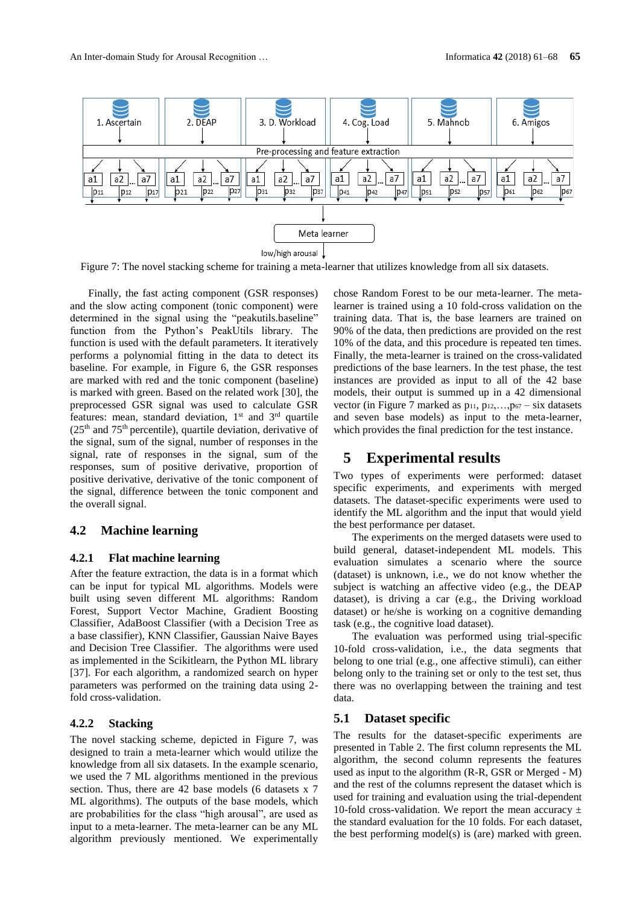

Figure 7: The novel stacking scheme for training a meta-learner that utilizes knowledge from all six datasets.

Finally, the fast acting component (GSR responses) and the slow acting component (tonic component) were determined in the signal using the "peakutils.baseline" function from the Python's PeakUtils library. The function is used with the default parameters. It iteratively performs a polynomial fitting in the data to detect its baseline. For example, in [Figure 6,](#page-3-4) the GSR responses are marked with red and the tonic component (baseline) is marked with green. Based on the related work [\[30\],](#page-7-4) the preprocessed GSR signal was used to calculate GSR features: mean, standard deviation, 1<sup>st</sup> and 3<sup>rd</sup> quartile  $(25<sup>th</sup>$  and  $75<sup>th</sup>$  percentile), quartile deviation, derivative of the signal, sum of the signal, number of responses in the signal, rate of responses in the signal, sum of the responses, sum of positive derivative, proportion of positive derivative, derivative of the tonic component of the signal, difference between the tonic component and the overall signal.

#### <span id="page-4-0"></span>**4.2 Machine learning**

#### **4.2.1 Flat machine learning**

After the feature extraction, the data is in a format which can be input for typical ML algorithms. Models were built using seven different ML algorithms: Random Forest, Support Vector Machine, Gradient Boosting Classifier, AdaBoost Classifier (with a Decision Tree as a base classifier), KNN Classifier, Gaussian Naive Bayes and Decision Tree Classifier. The algorithms were used as implemented in the Scikitlearn, the Python ML library [\[37\].](#page-7-6) For each algorithm, a randomized search on hyper parameters was performed on the training data using 2 fold cross-validation.

# <span id="page-4-1"></span>**4.2.2 Stacking**

The novel stacking scheme, depicted in Figure 7, was designed to train a meta-learner which would utilize the knowledge from all six datasets. In the example scenario, we used the 7 ML algorithms mentioned in the previous section. Thus, there are 42 base models (6 datasets x 7 ML algorithms). The outputs of the base models, which are probabilities for the class "high arousal", are used as input to a meta-learner. The meta-learner can be any ML algorithm previously mentioned. We experimentally

chose Random Forest to be our meta-learner. The metalearner is trained using a 10 fold-cross validation on the training data. That is, the base learners are trained on 90% of the data, then predictions are provided on the rest 10% of the data, and this procedure is repeated ten times. Finally, the meta-learner is trained on the cross-validated predictions of the base learners. In the test phase, the test instances are provided as input to all of the 42 base models, their output is summed up in a 42 dimensional vector (in Figure 7 marked as  $p_{11}$ ,  $p_{12}$ , ..., $p_{67}$  – six datasets and seven base models) as input to the meta-learner, which provides the final prediction for the test instance.

# **5 Experimental results**

Two types of experiments were performed: dataset specific experiments, and experiments with merged datasets. The dataset-specific experiments were used to identify the ML algorithm and the input that would yield the best performance per dataset.

The experiments on the merged datasets were used to build general, dataset-independent ML models. This evaluation simulates a scenario where the source (dataset) is unknown, i.e., we do not know whether the subject is watching an affective video (e.g., the DEAP dataset), is driving a car (e.g., the Driving workload dataset) or he/she is working on a cognitive demanding task (e.g., the cognitive load dataset).

The evaluation was performed using trial-specific 10-fold cross-validation, i.e., the data segments that belong to one trial (e.g., one affective stimuli), can either belong only to the training set or only to the test set, thus there was no overlapping between the training and test data.

# **5.1 Dataset specific**

The results for the dataset-specific experiments are presented in Table 2. The first column represents the ML algorithm, the second column represents the features used as input to the algorithm (R-R, GSR or Merged - M) and the rest of the columns represent the dataset which is used for training and evaluation using the trial-dependent 10-fold cross-validation. We report the mean accuracy  $\pm$ the standard evaluation for the 10 folds. For each dataset, the best performing model(s) is (are) marked with green.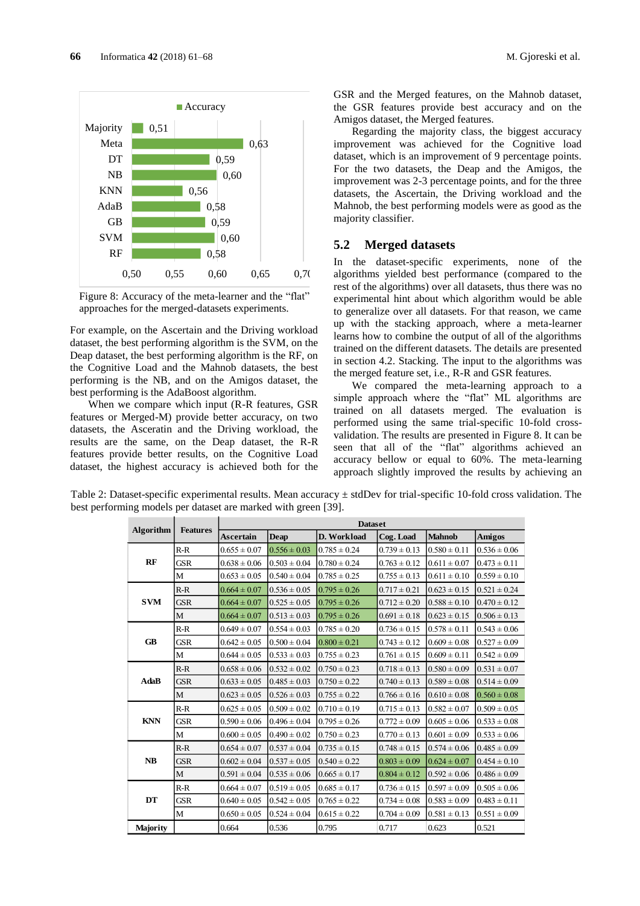

<span id="page-5-0"></span>Figure 8: Accuracy of the meta-learner and the "flat" approaches for the merged-datasets experiments.

For example, on the Ascertain and the Driving workload dataset, the best performing algorithm is the SVM, on the Deap dataset, the best performing algorithm is the RF, on the Cognitive Load and the Mahnob datasets, the best performing is the NB, and on the Amigos dataset, the best performing is the AdaBoost algorithm.

When we compare which input (R-R features, GSR features or Merged-M) provide better accuracy, on two datasets, the Asceratin and the Driving workload, the results are the same, on the Deap dataset, the R-R features provide better results, on the Cognitive Load dataset, the highest accuracy is achieved both for the

GSR and the Merged features, on the Mahnob dataset, the GSR features provide best accuracy and on the Amigos dataset, the Merged features.

Regarding the majority class, the biggest accuracy improvement was achieved for the Cognitive load dataset, which is an improvement of 9 percentage points. For the two datasets, the Deap and the Amigos, the improvement was 2-3 percentage points, and for the three datasets, the Ascertain, the Driving workload and the Mahnob, the best performing models were as good as the majority classifier.

#### **5.2 Merged datasets**

In the dataset-specific experiments, none of the algorithms yielded best performance (compared to the rest of the algorithms) over all datasets, thus there was no experimental hint about which algorithm would be able to generalize over all datasets. For that reason, we came up with the stacking approach, where a meta-learner learns how to combine the output of all of the algorithms trained on the different datasets. The details are presented in section 4.2. [Stacking.](#page-4-1) The input to the algorithms was the merged feature set, i.e., R-R and GSR features.

We compared the meta-learning approach to a simple approach where the "flat" ML algorithms are trained on all datasets merged. The evaluation is performed using the same trial-specific 10-fold crossvalidation. The results are presented in [Figure 8.](#page-5-0) It can be seen that all of the "flat" algorithms achieved an accuracy bellow or equal to 60%. The meta-learning approach slightly improved the results by achieving an

Table 2: Dataset-specific experimental results. Mean accuracy  $\pm$  stdDev for trial-specific 10-fold cross validation. The best performing models per dataset are marked with green [\[39\].](#page-7-0)

| <b>Algorithm</b> | <b>Features</b> | <b>Dataset</b>   |                  |                  |                  |                  |                  |  |  |  |
|------------------|-----------------|------------------|------------------|------------------|------------------|------------------|------------------|--|--|--|
|                  |                 | <b>Ascertain</b> | <b>Deap</b>      | D. Workload      | Cog. Load        | <b>Mahnob</b>    | Amigos           |  |  |  |
| <b>RF</b>        | $R-R$           | $0.655 \pm 0.07$ | $0.556 \pm 0.03$ | $0.785 \pm 0.24$ | $0.739 \pm 0.13$ | $0.580 \pm 0.11$ | $0.536 \pm 0.06$ |  |  |  |
|                  | <b>GSR</b>      | $0.638 \pm 0.06$ | $0.503 \pm 0.04$ | $0.780 \pm 0.24$ | $0.763 \pm 0.12$ | $0.611 \pm 0.07$ | $0.473 \pm 0.11$ |  |  |  |
|                  | M               | $0.653 \pm 0.05$ | $0.540 \pm 0.04$ | $0.785 \pm 0.25$ | $0.755 \pm 0.13$ | $0.611 \pm 0.10$ | $0.559 \pm 0.10$ |  |  |  |
| <b>SVM</b>       | $R-R$           | $0.664 \pm 0.07$ | $0.536 \pm 0.05$ | $0.795 \pm 0.26$ | $0.717 \pm 0.21$ | $0.623 \pm 0.15$ | $0.521 \pm 0.24$ |  |  |  |
|                  | <b>GSR</b>      | $0.664 \pm 0.07$ | $0.525 \pm 0.05$ | $0.795 \pm 0.26$ | $0.712 \pm 0.20$ | $0.588 \pm 0.10$ | $0.470 \pm 0.12$ |  |  |  |
|                  | M               | $0.664 \pm 0.07$ | $0.513 \pm 0.03$ | $0.795 \pm 0.26$ | $0.691 \pm 0.18$ | $0.623 \pm 0.15$ | $0.506 \pm 0.13$ |  |  |  |
| <b>GB</b>        | $R-R$           | $0.649 \pm 0.07$ | $0.554 \pm 0.03$ | $0.785 \pm 0.20$ | $0.736 \pm 0.15$ | $0.578 \pm 0.11$ | $0.543 \pm 0.06$ |  |  |  |
|                  | <b>GSR</b>      | $0.642 \pm 0.05$ | $0.500 \pm 0.04$ | $0.800 \pm 0.21$ | $0.743 \pm 0.12$ | $0.609 \pm 0.08$ | $0.527 \pm 0.09$ |  |  |  |
|                  | M               | $0.644 \pm 0.05$ | $0.533 \pm 0.03$ | $0.755 \pm 0.23$ | $0.761 \pm 0.15$ | $0.609 \pm 0.11$ | $0.542 \pm 0.09$ |  |  |  |
| <b>AdaB</b>      | $R-R$           | $0.658 \pm 0.06$ | $0.532 \pm 0.02$ | $0.750 \pm 0.23$ | $0.718 \pm 0.13$ | $0.580 \pm 0.09$ | $0.531 \pm 0.07$ |  |  |  |
|                  | <b>GSR</b>      | $0.633 \pm 0.05$ | $0.485 \pm 0.03$ | $0.750 \pm 0.22$ | $0.740 \pm 0.13$ | $0.589 \pm 0.08$ | $0.514 \pm 0.09$ |  |  |  |
|                  | M               | $0.623 \pm 0.05$ | $0.526 \pm 0.03$ | $0.755 \pm 0.22$ | $0.766 \pm 0.16$ | $0.610 \pm 0.08$ | $0.560 \pm 0.08$ |  |  |  |
| <b>KNN</b>       | $R-R$           | $0.625 \pm 0.05$ | $0.509 \pm 0.02$ | $0.710 \pm 0.19$ | $0.715 \pm 0.13$ | $0.582 \pm 0.07$ | $0.509 \pm 0.05$ |  |  |  |
|                  | GSR             | $0.590 \pm 0.06$ | $0.496 \pm 0.04$ | $0.795 \pm 0.26$ | $0.772 \pm 0.09$ | $0.605 \pm 0.06$ | $0.533 \pm 0.08$ |  |  |  |
|                  | M               | $0.600 \pm 0.05$ | $0.490 \pm 0.02$ | $0.750 \pm 0.23$ | $0.770 \pm 0.13$ | $0.601 \pm 0.09$ | $0.533 \pm 0.06$ |  |  |  |
| NB               | $R-R$           | $0.654 \pm 0.07$ | $0.537 \pm 0.04$ | $0.735 \pm 0.15$ | $0.748 \pm 0.15$ | $0.574 \pm 0.06$ | $0.485 \pm 0.09$ |  |  |  |
|                  | <b>GSR</b>      | $0.602 \pm 0.04$ | $0.537 \pm 0.05$ | $0.540 \pm 0.22$ | $0.803 \pm 0.09$ | $0.624 \pm 0.07$ | $0.454 \pm 0.10$ |  |  |  |
|                  | M               | $0.591 \pm 0.04$ | $0.535 \pm 0.06$ | $0.665 \pm 0.17$ | $0.804 \pm 0.12$ | $0.592 \pm 0.06$ | $0.486 \pm 0.09$ |  |  |  |
| DT               | $R-R$           | $0.664 \pm 0.07$ | $0.519 \pm 0.05$ | $0.685 \pm 0.17$ | $0.736 \pm 0.15$ | $0.597 \pm 0.09$ | $0.505 \pm 0.06$ |  |  |  |
|                  | <b>GSR</b>      | $0.640 \pm 0.05$ | $0.542 \pm 0.05$ | $0.765 \pm 0.22$ | $0.734 \pm 0.08$ | $0.583 \pm 0.09$ | $0.483 \pm 0.11$ |  |  |  |
|                  | M               | $0.650 \pm 0.05$ | $0.524 \pm 0.04$ | $0.615 \pm 0.22$ | $0.704 \pm 0.09$ | $0.581 \pm 0.13$ | $0.551 \pm 0.09$ |  |  |  |
| <b>Majority</b>  |                 | 0.664            | 0.536            | 0.795            | 0.717            | 0.623            | 0.521            |  |  |  |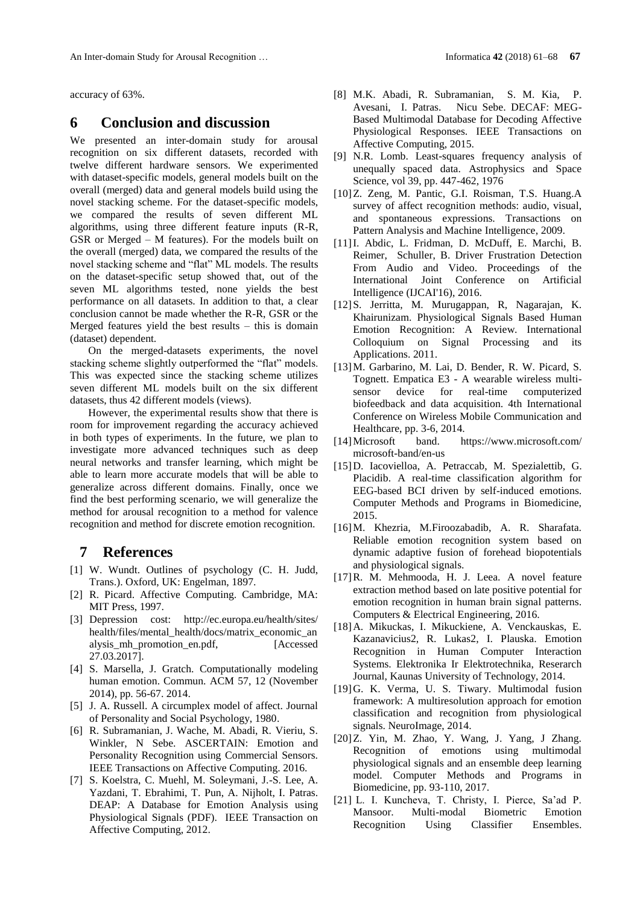accuracy of 63%.

# **6 Conclusion and discussion**

We presented an inter-domain study for arousal recognition on six different datasets, recorded with twelve different hardware sensors. We experimented with dataset-specific models, general models built on the overall (merged) data and general models build using the novel stacking scheme. For the dataset-specific models, we compared the results of seven different ML algorithms, using three different feature inputs (R-R, GSR or Merged – M features). For the models built on the overall (merged) data, we compared the results of the novel stacking scheme and "flat" ML models. The results on the dataset-specific setup showed that, out of the seven ML algorithms tested, none yields the best performance on all datasets. In addition to that, a clear conclusion cannot be made whether the R-R, GSR or the Merged features yield the best results – this is domain (dataset) dependent.

On the merged-datasets experiments, the novel stacking scheme slightly outperformed the "flat" models. This was expected since the stacking scheme utilizes seven different ML models built on the six different datasets, thus 42 different models (views).

However, the experimental results show that there is room for improvement regarding the accuracy achieved in both types of experiments. In the future, we plan to investigate more advanced techniques such as deep neural networks and transfer learning, which might be able to learn more accurate models that will be able to generalize across different domains. Finally, once we find the best performing scenario, we will generalize the method for arousal recognition to a method for valence recognition and method for discrete emotion recognition.

# **7 References**

- <span id="page-6-0"></span>[1] W. Wundt. Outlines of psychology (C. H. Judd, Trans.). Oxford, UK: Engelman, 1897.
- <span id="page-6-1"></span>[2] R. Picard. Affective Computing. Cambridge, MA: MIT Press, 1997.
- <span id="page-6-2"></span>[3] Depression cost: <http://ec.europa.eu/health/sites/> health/files/mental\_health/docs/matrix\_economic\_an alysis\_mh\_promotion\_en.pdf, [Accessed 27.03.2017].
- <span id="page-6-4"></span>[4] S. Marsella, J. Gratch. Computationally modeling human emotion. Commun. ACM 57, 12 (November 2014), pp. 56-67. 2014.
- <span id="page-6-3"></span>[5] J. A. Russell. A circumplex model of affect. Journal of Personality and Social Psychology, 1980.
- <span id="page-6-5"></span>[6] R. Subramanian, J. Wache, M. Abadi, R. Vieriu, S. Winkler, N Sebe. ASCERTAIN: Emotion and Personality Recognition using Commercial Sensors. IEEE Transactions on Affective Computing. 2016.
- <span id="page-6-6"></span>[7] S. Koelstra, C. Muehl, M. Soleymani, J.-S. Lee, A. Yazdani, T. Ebrahimi, T. Pun, A. Nijholt, I. Patras. DEAP: A Database for Emotion Analysis using Physiological Signals (PDF). IEEE Transaction on Affective Computing, 2012.
- <span id="page-6-7"></span>[8] M.K. Abadi, R. Subramanian, S. M. Kia, P. Avesani, I. Patras. Nicu Sebe. DECAF: MEG-Based Multimodal Database for Decoding Affective Physiological Responses. IEEE Transactions on Affective Computing, 2015.
- <span id="page-6-20"></span>[9] N.R. Lomb. Least-squares frequency analysis of unequally spaced data. Astrophysics and Space Science, vol 39, pp. 447-462, 1976
- <span id="page-6-8"></span>[10]Z. Zeng, M. Pantic, G.I. Roisman, T.S. Huang.A survey of affect recognition methods: audio, visual, and spontaneous expressions. Transactions on Pattern Analysis and Machine Intelligence, 2009.
- <span id="page-6-9"></span>[11]I. Abdic, L. Fridman, D. McDuff, E. Marchi, B. Reimer, Schuller, B. Driver Frustration Detection From Audio and Video. Proceedings of the International Joint Conference on Artificial Intelligence (IJCAI'16), 2016.
- <span id="page-6-10"></span>[12]S. Jerritta, M. Murugappan, R, Nagarajan, K. Khairunizam. Physiological Signals Based Human Emotion Recognition: A Review. International Colloquium on Signal Processing and its Applications. 2011.
- <span id="page-6-11"></span>[13]M. Garbarino, M. Lai, D. Bender, R. W. Picard, S. Tognett. Empatica E3 - A wearable wireless multisensor device for real-time computerized biofeedback and data acquisition. 4th International Conference on Wireless Mobile Communication and Healthcare, pp. 3-6, 2014.
- <span id="page-6-12"></span>[14]Microsoft band. [https://www.microsoft.com/](https://www.microsoft.com/%20microsoft-band/en-us)  [microsoft-band/en-us](https://www.microsoft.com/%20microsoft-band/en-us)
- <span id="page-6-13"></span>[15]D. Iacovielloa, A. Petraccab, M. Spezialettib, G. Placidib. A real-time classification algorithm for EEG-based BCI driven by self-induced emotions. Computer Methods and Programs in Biomedicine, 2015.
- <span id="page-6-14"></span>[16]M. Khezria, M.Firoozabadib, A. R. Sharafata. Reliable emotion recognition system based on dynamic adaptive fusion of forehead biopotentials and physiological signals.
- <span id="page-6-15"></span>[17]R. M. Mehmooda, H. J. Leea. A novel feature extraction method based on late positive potential for emotion recognition in human brain signal patterns. Computers & Electrical Engineering, 2016.
- <span id="page-6-16"></span>[18]A. Mikuckas, I. Mikuckiene, A. Venckauskas, E. Kazanavicius2, R. Lukas2, I. Plauska. Emotion Recognition in Human Computer Interaction Systems. Elektronika Ir Elektrotechnika, Reserarch Journal, Kaunas University of Technology, 2014.
- <span id="page-6-18"></span>[19]G. K. Verma, U. S. Tiwary. Multimodal fusion framework: A multiresolution approach for emotion classification and recognition from physiological signals. NeuroImage, 2014.
- <span id="page-6-17"></span>[20]Z. Yin, M. Zhao, Y. Wang, J. Yang, J Zhang. Recognition of emotions using multimodal physiological signals and an ensemble deep learning model. Computer Methods and Programs in Biomedicine, pp. 93-110, 2017.
- <span id="page-6-19"></span>[21] L. I. Kuncheva, T. Christy, I. Pierce, Sa'ad P. Mansoor. Multi-modal Biometric Emotion Recognition Using Classifier Ensembles.